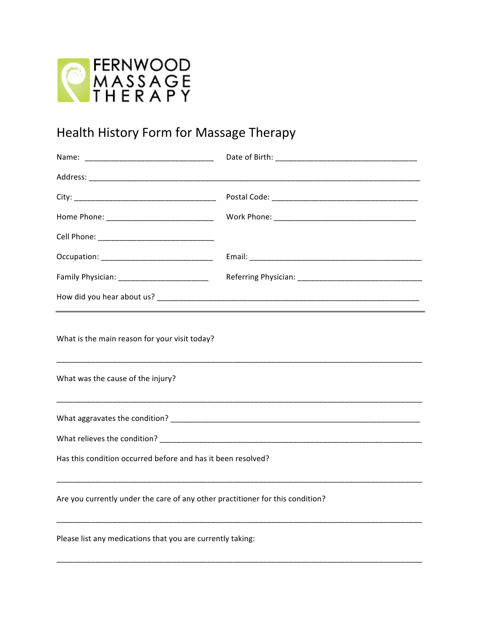

## Health History Form for Massage Therapy

| What is the main reason for your visit today?<br>What was the cause of the injury?                             |  |  |
|----------------------------------------------------------------------------------------------------------------|--|--|
| What aggravates the condition? Department of the condition of the condition of the condition of the condition? |  |  |
|                                                                                                                |  |  |
| Has this condition occurred before and has it been resolved?                                                   |  |  |
| Are you currently under the care of any other practitioner for this condition?                                 |  |  |
|                                                                                                                |  |  |

Please list any medications that you are currently taking: